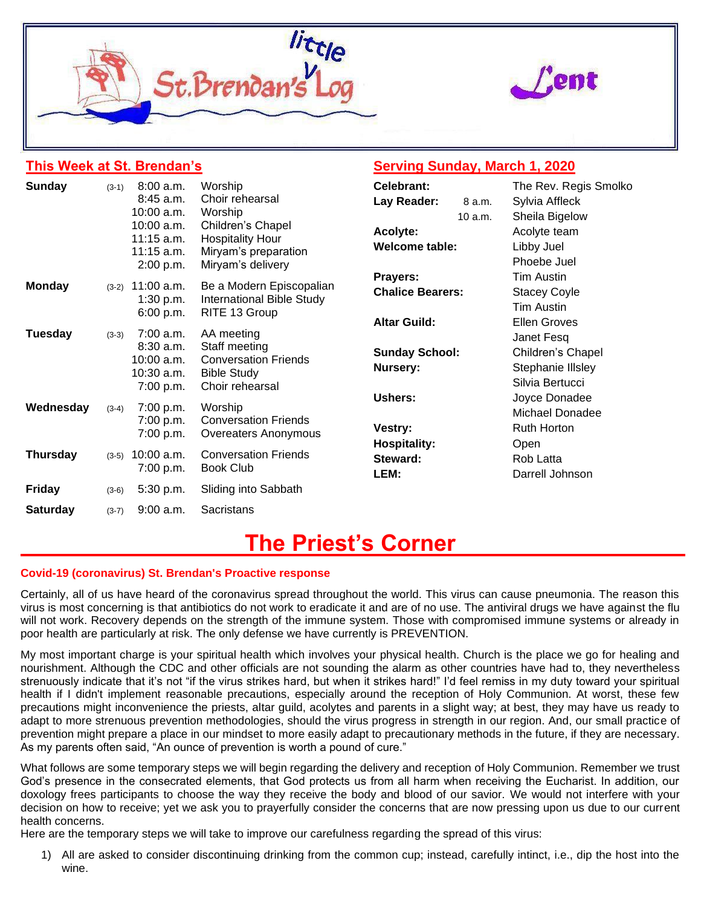



## **This Week at St. Brendan's**

## **Serving Sunday, March 1, 2020**

| Sunday          | $(3-1)$ | 8:00 a.m.                | Worship                          | Celebrant:              |         | The Rev. Regis Smolko          |  |  |
|-----------------|---------|--------------------------|----------------------------------|-------------------------|---------|--------------------------------|--|--|
|                 |         | 8:45 a.m.                | Choir rehearsal                  | Lay Reader:             | 8 a.m.  | Sylvia Affleck                 |  |  |
|                 |         | $10:00$ a.m.             | Worship                          |                         | 10 a.m. | Sheila Bigelow<br>Acolyte team |  |  |
|                 |         | 10:00 a.m.               | Children's Chapel                | Acolyte:                |         |                                |  |  |
|                 |         | $11:15$ a.m.             | <b>Hospitality Hour</b>          | <b>Welcome table:</b>   |         | Libby Juel                     |  |  |
|                 |         | $11:15$ a.m.             | Miryam's preparation             |                         |         | Phoebe Juel                    |  |  |
|                 |         | 2:00 p.m.                | Miryam's delivery                | Prayers:                |         | Tim Austin                     |  |  |
| <b>Monday</b>   | $(3-2)$ | 11:00 a.m.               | Be a Modern Episcopalian         | <b>Chalice Bearers:</b> |         |                                |  |  |
|                 |         | 1:30 p.m.                | <b>International Bible Study</b> |                         |         | <b>Stacey Coyle</b>            |  |  |
|                 |         | 6:00 p.m.                | RITE 13 Group                    |                         |         | Tim Austin                     |  |  |
|                 |         |                          |                                  | <b>Altar Guild:</b>     |         | <b>Ellen Groves</b>            |  |  |
| <b>Tuesday</b>  | $(3-3)$ | $7:00$ a.m.<br>8:30 a.m. | AA meeting<br>Staff meeting      |                         |         | Janet Fesq                     |  |  |
|                 |         | 10:00 a.m.               | <b>Conversation Friends</b>      | <b>Sunday School:</b>   |         | Children's Chapel              |  |  |
|                 |         | 10:30 a.m.               | <b>Bible Study</b>               | Nursery:                |         | Stephanie Illsley              |  |  |
|                 |         | 7:00 p.m.                | Choir rehearsal                  |                         |         | Silvia Bertucci                |  |  |
|                 |         |                          |                                  | Ushers:                 |         | Joyce Donadee                  |  |  |
| Wednesday       | $(3-4)$ | 7:00 p.m.                | Worship                          |                         |         | Michael Donadee                |  |  |
|                 |         | 7:00 p.m.                | <b>Conversation Friends</b>      | Vestry:                 |         | Ruth Horton                    |  |  |
|                 |         | 7:00 p.m.                | Overeaters Anonymous             | <b>Hospitality:</b>     |         | Open                           |  |  |
| <b>Thursday</b> | $(3-5)$ | 10:00 a.m.<br>7:00 p.m.  | <b>Conversation Friends</b>      | Steward:                |         | Rob Latta                      |  |  |
|                 |         |                          | <b>Book Club</b>                 |                         |         |                                |  |  |
|                 |         |                          |                                  | LEM:                    |         | Darrell Johnson                |  |  |
| <b>Friday</b>   | $(3-6)$ | 5:30 p.m.                | Sliding into Sabbath             |                         |         |                                |  |  |
| <b>Saturday</b> | $(3-7)$ | $9:00$ a.m.              | Sacristans                       |                         |         |                                |  |  |
|                 |         |                          |                                  |                         |         |                                |  |  |

# **The Priest's Corner**

#### **Covid-19 (coronavirus) St. Brendan's Proactive response**

Certainly, all of us have heard of the coronavirus spread throughout the world. This virus can cause pneumonia. The reason this virus is most concerning is that antibiotics do not work to eradicate it and are of no use. The antiviral drugs we have against the flu will not work. Recovery depends on the strength of the immune system. Those with compromised immune systems or already in poor health are particularly at risk. The only defense we have currently is PREVENTION.

My most important charge is your spiritual health which involves your physical health. Church is the place we go for healing and nourishment. Although the CDC and other officials are not sounding the alarm as other countries have had to, they nevertheless strenuously indicate that it's not "if the virus strikes hard, but when it strikes hard!" I'd feel remiss in my duty toward your spiritual health if I didn't implement reasonable precautions, especially around the reception of Holy Communion. At worst, these few precautions might inconvenience the priests, altar guild, acolytes and parents in a slight way; at best, they may have us ready to adapt to more strenuous prevention methodologies, should the virus progress in strength in our region. And, our small practice of prevention might prepare a place in our mindset to more easily adapt to precautionary methods in the future, if they are necessary. As my parents often said, "An ounce of prevention is worth a pound of cure."

What follows are some temporary steps we will begin regarding the delivery and reception of Holy Communion. Remember we trust God's presence in the consecrated elements, that God protects us from all harm when receiving the Eucharist. In addition, our doxology frees participants to choose the way they receive the body and blood of our savior. We would not interfere with your decision on how to receive; yet we ask you to prayerfully consider the concerns that are now pressing upon us due to our current health concerns.

Here are the temporary steps we will take to improve our carefulness regarding the spread of this virus:

1) All are asked to consider discontinuing drinking from the common cup; instead, carefully intinct, i.e., dip the host into the wine.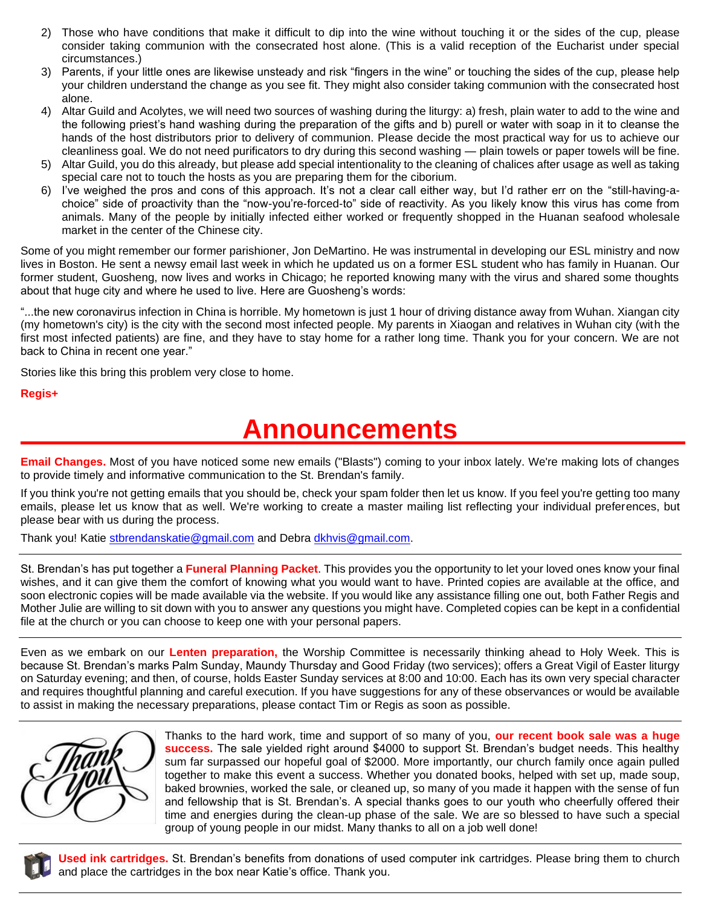- 2) Those who have conditions that make it difficult to dip into the wine without touching it or the sides of the cup, please consider taking communion with the consecrated host alone. (This is a valid reception of the Eucharist under special circumstances.)
- 3) Parents, if your little ones are likewise unsteady and risk "fingers in the wine" or touching the sides of the cup, please help your children understand the change as you see fit. They might also consider taking communion with the consecrated host alone.
- 4) Altar Guild and Acolytes, we will need two sources of washing during the liturgy: a) fresh, plain water to add to the wine and the following priest's hand washing during the preparation of the gifts and b) purell or water with soap in it to cleanse the hands of the host distributors prior to delivery of communion. Please decide the most practical way for us to achieve our cleanliness goal. We do not need purificators to dry during this second washing — plain towels or paper towels will be fine.
- 5) Altar Guild, you do this already, but please add special intentionality to the cleaning of chalices after usage as well as taking special care not to touch the hosts as you are preparing them for the ciborium.
- 6) I've weighed the pros and cons of this approach. It's not a clear call either way, but I'd rather err on the "still-having-achoice" side of proactivity than the "now-you're-forced-to" side of reactivity. As you likely know this virus has come from animals. Many of the people by initially infected either worked or frequently shopped in the Huanan seafood wholesale market in the center of the Chinese city.

Some of you might remember our former parishioner, Jon DeMartino. He was instrumental in developing our ESL ministry and now lives in Boston. He sent a newsy email last week in which he updated us on a former ESL student who has family in Huanan. Our former student, Guosheng, now lives and works in Chicago; he reported knowing many with the virus and shared some thoughts about that huge city and where he used to live. Here are Guosheng's words:

"...the new coronavirus infection in China is horrible. My hometown is just 1 hour of driving distance away from Wuhan. Xiangan city (my hometown's city) is the city with the second most infected people. My parents in Xiaogan and relatives in Wuhan city (with the first most infected patients) are fine, and they have to stay home for a rather long time. Thank you for your concern. We are not back to China in recent one year."

Stories like this bring this problem very close to home.

#### **Regis+**

# **Announcements**

**Email Changes.** Most of you have noticed some new emails ("Blasts") coming to your inbox lately. We're making lots of changes to provide timely and informative communication to the St. Brendan's family.

If you think you're not getting emails that you should be, check your spam folder then let us know. If you feel you're getting too many emails, please let us know that as well. We're working to create a master mailing list reflecting your individual preferences, but please bear with us during the process.

Thank you! Katie [stbrendanskatie@gmail.com](mailto:stbrendanskatie@gmail.com) and Debra [dkhvis@gmail.com.](mailto:dkhvis@gmail.com)

St. Brendan's has put together a **Funeral Planning Packet**. This provides you the opportunity to let your loved ones know your final wishes, and it can give them the comfort of knowing what you would want to have. Printed copies are available at the office, and soon electronic copies will be made available via the website. If you would like any assistance filling one out, both Father Regis and Mother Julie are willing to sit down with you to answer any questions you might have. Completed copies can be kept in a confidential file at the church or you can choose to keep one with your personal papers.

Even as we embark on our **Lenten preparation,** the Worship Committee is necessarily thinking ahead to Holy Week. This is because St. Brendan's marks Palm Sunday, Maundy Thursday and Good Friday (two services); offers a Great Vigil of Easter liturgy on Saturday evening; and then, of course, holds Easter Sunday services at 8:00 and 10:00. Each has its own very special character and requires thoughtful planning and careful execution. If you have suggestions for any of these observances or would be available to assist in making the necessary preparations, please contact Tim or Regis as soon as possible.

Thanks to the hard work, time and support of so many of you, **our recent book sale was a huge success.** The sale yielded right around \$4000 to support St. Brendan's budget needs. This healthy sum far surpassed our hopeful goal of \$2000. More importantly, our church family once again pulled together to make this event a success. Whether you donated books, helped with set up, made soup, baked brownies, worked the sale, or cleaned up, so many of you made it happen with the sense of fun and fellowship that is St. Brendan's. A special thanks goes to our youth who cheerfully offered their time and energies during the clean-up phase of the sale. We are so blessed to have such a special group of young people in our midst. Many thanks to all on a job well done!



**Used ink cartridges.** St. Brendan's benefits from donations of used computer ink cartridges. Please bring them to church and place the cartridges in the box near Katie's office. Thank you.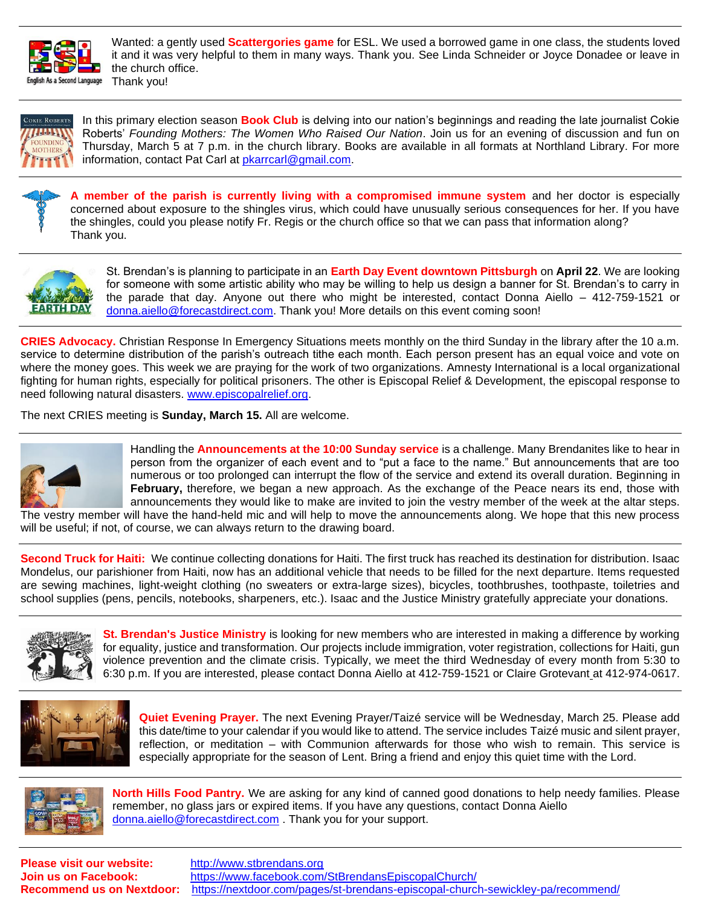

Wanted: a gently used **Scattergories game** for ESL. We used a borrowed game in one class, the students loved it and it was very helpful to them in many ways. Thank you. See Linda Schneider or Joyce Donadee or leave in the church office. Thank you!



In this primary election season **Book Club** is delving into our nation's beginnings and reading the late journalist Cokie Roberts' *Founding Mothers: The Women Who Raised Our Nation*. Join us for an evening of discussion and fun on Thursday, March 5 at 7 p.m. in the church library. Books are available in all formats at Northland Library. For more information, contact Pat Carl at [pkarrcarl@gmail.com.](mailto:pkarrcarl@gmail.com)

**A member of the parish is currently living with a compromised immune system** and her doctor is especially concerned about exposure to the shingles virus, which could have unusually serious consequences for her. If you have the shingles, could you please notify Fr. Regis or the church office so that we can pass that information along? Thank you.



St. Brendan's is planning to participate in an **Earth Day Event downtown Pittsburgh** on **April 22**. We are looking for someone with some artistic ability who may be willing to help us design a banner for St. Brendan's to carry in the parade that day. Anyone out there who might be interested, contact Donna Aiello – 412-759-1521 or [donna.aiello@forecastdirect.com.](mailto:donna.aiello@forecastdirect.com) Thank you! More details on this event coming soon!

**CRIES Advocacy.** Christian Response In Emergency Situations meets monthly on the third Sunday in the library after the 10 a.m. service to determine distribution of the parish's outreach tithe each month. Each person present has an equal voice and vote on where the money goes. This week we are praying for the work of two organizations. Amnesty International is a local organizational fighting for human rights, especially for political prisoners. The other is Episcopal Relief & Development, the episcopal response to need following natural disasters. [www.episcopalrelief.org.](http://www.episcopalrelief.org/)

The next CRIES meeting is **Sunday, March 15.** All are welcome.



Handling the **Announcements at the 10:00 Sunday service** is a challenge. Many Brendanites like to hear in person from the organizer of each event and to "put a face to the name." But announcements that are too numerous or too prolonged can interrupt the flow of the service and extend its overall duration. Beginning in **February,** therefore, we began a new approach. As the exchange of the Peace nears its end, those with announcements they would like to make are invited to join the vestry member of the week at the altar steps.

The vestry member will have the hand-held mic and will help to move the announcements along. We hope that this new process will be useful; if not, of course, we can always return to the drawing board.

**Second Truck for Haiti:** We continue collecting donations for Haiti. The first truck has reached its destination for distribution. Isaac Mondelus, our parishioner from Haiti, now has an additional vehicle that needs to be filled for the next departure. Items requested are sewing machines, light-weight clothing (no sweaters or extra-large sizes), bicycles, toothbrushes, toothpaste, toiletries and school supplies (pens, pencils, notebooks, sharpeners, etc.). Isaac and the Justice Ministry gratefully appreciate your donations.



**St. Brendan's Justice Ministry** is looking for new members who are interested in making a difference by working for equality, justice and transformation. Our projects include immigration, voter registration, collections for Haiti, gun violence prevention and the climate crisis. Typically, we meet the third Wednesday of every month from 5:30 to 6:30 p.m. If you are interested, please contact Donna Aiello at 412-759-1521 or Claire Grotevant at 412-974-0617.



**Quiet Evening Prayer.** The next Evening Prayer/Taizé service will be Wednesday, March 25. Please add this date/time to your calendar if you would like to attend. The service includes Taizé music and silent prayer, reflection, or meditation – with Communion afterwards for those who wish to remain. This service is especially appropriate for the season of Lent. Bring a friend and enjoy this quiet time with the Lord.



**North Hills Food Pantry.** We are asking for any kind of canned good donations to help needy families. Please remember, no glass jars or expired items. If you have any questions, contact Donna Aiello [donna.aiello@forecastdirect.com](mailto:donna.aiello@forecastdirect.com) . Thank you for your support.

**Please visit our website:** [http://www.stbrendans.org](http://www.stbrendans.org/)

**Join us on Facebook:** <https://www.facebook.com/StBrendansEpiscopalChurch/> **Recommend us on Nextdoor:** <https://nextdoor.com/pages/st-brendans-episcopal-church-sewickley-pa/recommend/>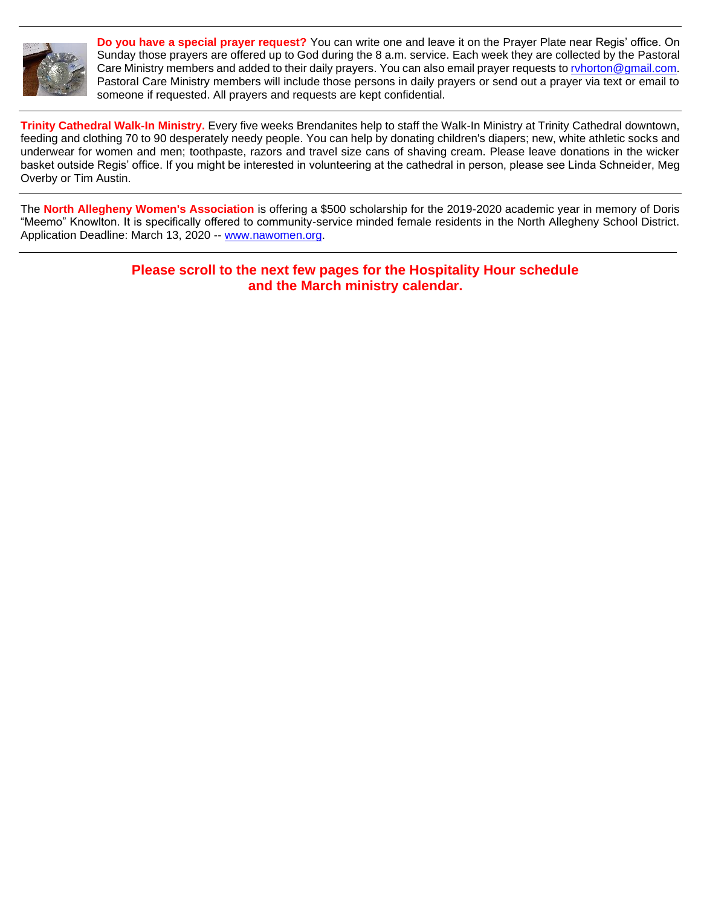

**Do you have a special prayer request?** You can write one and leave it on the Prayer Plate near Regis' office. On Sunday those prayers are offered up to God during the 8 a.m. service. Each week they are collected by the Pastoral Care Ministry members and added to their daily prayers. You can also email prayer requests to ryhorton@gmail.com. Pastoral Care Ministry members will include those persons in daily prayers or send out a prayer via text or email to someone if requested. All prayers and requests are kept confidential.

**Trinity Cathedral Walk-In Ministry.** Every five weeks Brendanites help to staff the Walk-In Ministry at Trinity Cathedral downtown, feeding and clothing 70 to 90 desperately needy people. You can help by donating children's diapers; new, white athletic socks and underwear for women and men; toothpaste, razors and travel size cans of shaving cream. Please leave donations in the wicker basket outside Regis' office. If you might be interested in volunteering at the cathedral in person, please see Linda Schneider, Meg Overby or Tim Austin.

The **North Allegheny Women's Association** is offering a \$500 scholarship for the 2019-2020 academic year in memory of Doris "Meemo" Knowlton. It is specifically offered to community-service minded female residents in the North Allegheny School District. Application Deadline: March 13, 2020 -- [www.nawomen.org.](http://www.nawomen.org/)

> **Please scroll to the next few pages for the Hospitality Hour schedule and the March ministry calendar.**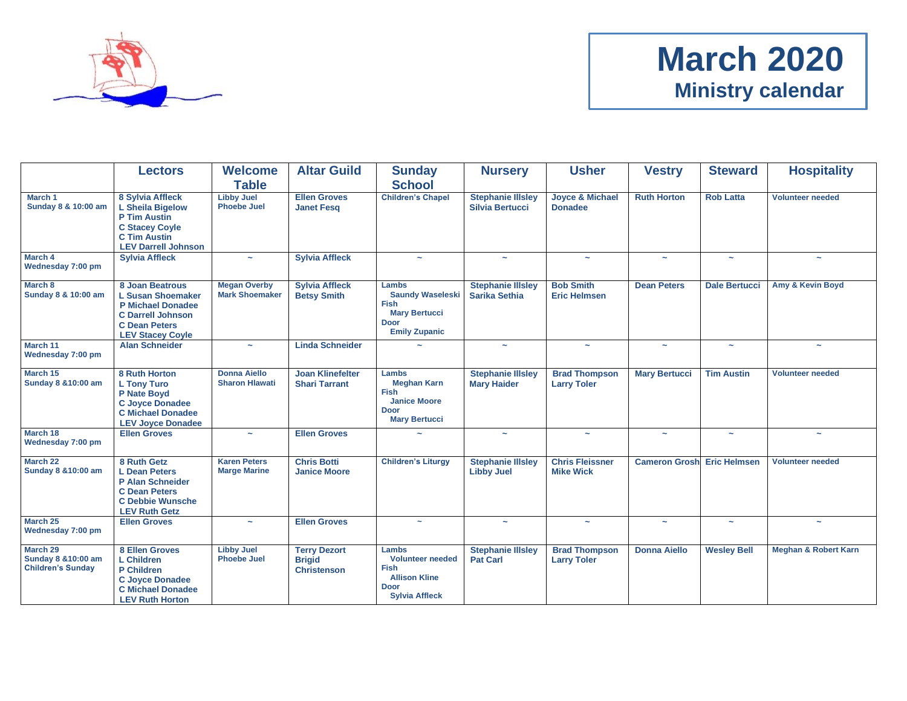

# **March 2020 Ministry calendar**

|                                                                       | Lectors                                                                                                                                                | <b>Welcome</b><br><b>Table</b>               | <b>Altar Guild</b>                                         | <b>Sunday</b><br><b>School</b>                                                                                  | <b>Nursery</b>                                     | <b>Usher</b>                                 | <b>Vestry</b>         | <b>Steward</b>        | <b>Hospitality</b>              |
|-----------------------------------------------------------------------|--------------------------------------------------------------------------------------------------------------------------------------------------------|----------------------------------------------|------------------------------------------------------------|-----------------------------------------------------------------------------------------------------------------|----------------------------------------------------|----------------------------------------------|-----------------------|-----------------------|---------------------------------|
| March 1<br>Sunday 8 & 10:00 am                                        | 8 Sylvia Affleck<br><b>L Sheila Bigelow</b><br><b>P Tim Austin</b><br><b>C Stacey Coyle</b><br><b>C Tim Austin</b><br><b>LEV Darrell Johnson</b>       | <b>Libby Juel</b><br><b>Phoebe Juel</b>      | <b>Ellen Groves</b><br><b>Janet Fesq</b>                   | <b>Children's Chapel</b>                                                                                        | <b>Stephanie Illsley</b><br><b>Silvia Bertucci</b> | <b>Joyce &amp; Michael</b><br><b>Donadee</b> | <b>Ruth Horton</b>    | <b>Rob Latta</b>      | <b>Volunteer needed</b>         |
| March 4<br>Wednesday 7:00 pm                                          | <b>Sylvia Affleck</b>                                                                                                                                  | $\sim$                                       | <b>Sylvia Affleck</b>                                      | $\sim$                                                                                                          | $\tilde{\phantom{a}}$                              | $\sim$                                       | $\sim$                | ÷                     | $\tilde{}$                      |
| March 8<br>Sunday 8 & 10:00 am                                        | 8 Joan Beatrous<br><b>L Susan Shoemaker</b><br><b>P Michael Donadee</b><br><b>C Darrell Johnson</b><br><b>C</b> Dean Peters<br><b>LEV Stacey Coyle</b> | <b>Megan Overby</b><br><b>Mark Shoemaker</b> | <b>Sylvia Affleck</b><br><b>Betsy Smith</b>                | Lambs<br><b>Saundy Waseleski</b><br><b>Fish</b><br><b>Mary Bertucci</b><br><b>Door</b><br><b>Emily Zupanic</b>  | <b>Stephanie Illsley</b><br><b>Sarika Sethia</b>   | <b>Bob Smith</b><br><b>Eric Helmsen</b>      | <b>Dean Peters</b>    | <b>Dale Bertucci</b>  | Amy & Kevin Boyd                |
| March 11<br>Wednesday 7:00 pm                                         | <b>Alan Schneider</b>                                                                                                                                  | $\sim$                                       | <b>Linda Schneider</b>                                     |                                                                                                                 | $\tilde{\phantom{a}}$                              | $\sim$                                       | $\tilde{\phantom{a}}$ | $\sim$                | $\sim$                          |
| March 15<br>Sunday 8 & 10:00 am                                       | 8 Ruth Horton<br><b>L Tony Turo</b><br>P Nate Boyd<br><b>C Joyce Donadee</b><br><b>C</b> Michael Donadee<br><b>LEV Joyce Donadee</b>                   | <b>Donna Aiello</b><br><b>Sharon Hlawati</b> | <b>Joan Klinefelter</b><br><b>Shari Tarrant</b>            | Lambs<br><b>Meghan Karn</b><br><b>Fish</b><br><b>Janice Moore</b><br>Door<br><b>Mary Bertucci</b>               | <b>Stephanie Illsley</b><br><b>Mary Haider</b>     | <b>Brad Thompson</b><br><b>Larry Toler</b>   | <b>Mary Bertucci</b>  | <b>Tim Austin</b>     | <b>Volunteer needed</b>         |
| March 18<br>Wednesday 7:00 pm                                         | <b>Ellen Groves</b>                                                                                                                                    | $\sim$                                       | <b>Ellen Groves</b>                                        | $\tilde{\phantom{a}}$                                                                                           | $\sim$                                             | $\sim$                                       | $\sim$                | $\sim$                | $\sim$                          |
| March 22<br><b>Sunday 8 &amp;10:00 am</b>                             | 8 Ruth Getz<br>L Dean Peters<br>P Alan Schneider<br><b>C Dean Peters</b><br><b>C Debbie Wunsche</b><br><b>LEV Ruth Getz</b>                            | <b>Karen Peters</b><br><b>Marge Marine</b>   | <b>Chris Botti</b><br><b>Janice Moore</b>                  | <b>Children's Liturgy</b>                                                                                       | <b>Stephanie Illsley</b><br><b>Libby Juel</b>      | <b>Chris Fleissner</b><br><b>Mike Wick</b>   | <b>Cameron Grosh</b>  | <b>Eric Helmsen</b>   | <b>Volunteer needed</b>         |
| March 25<br>Wednesday 7:00 pm                                         | <b>Ellen Groves</b>                                                                                                                                    | $\sim$                                       | <b>Ellen Groves</b>                                        | $\sim$                                                                                                          | $\tilde{\phantom{a}}$                              | $\sim$                                       | $\tilde{\phantom{a}}$ | $\tilde{\phantom{a}}$ | $\tilde{\phantom{a}}$           |
| March 29<br><b>Sunday 8 &amp;10:00 am</b><br><b>Children's Sunday</b> | 8 Ellen Groves<br><b>L</b> Children<br>P Children<br><b>C Joyce Donadee</b><br><b>C</b> Michael Donadee<br><b>LEV Ruth Horton</b>                      | <b>Libby Juel</b><br><b>Phoebe Juel</b>      | <b>Terry Dezort</b><br><b>Brigid</b><br><b>Christenson</b> | Lambs<br><b>Volunteer needed</b><br><b>Fish</b><br><b>Allison Kline</b><br><b>Door</b><br><b>Sylvia Affleck</b> | <b>Stephanie Illsley</b><br><b>Pat Carl</b>        | <b>Brad Thompson</b><br><b>Larry Toler</b>   | <b>Donna Aiello</b>   | <b>Wesley Bell</b>    | <b>Meghan &amp; Robert Karn</b> |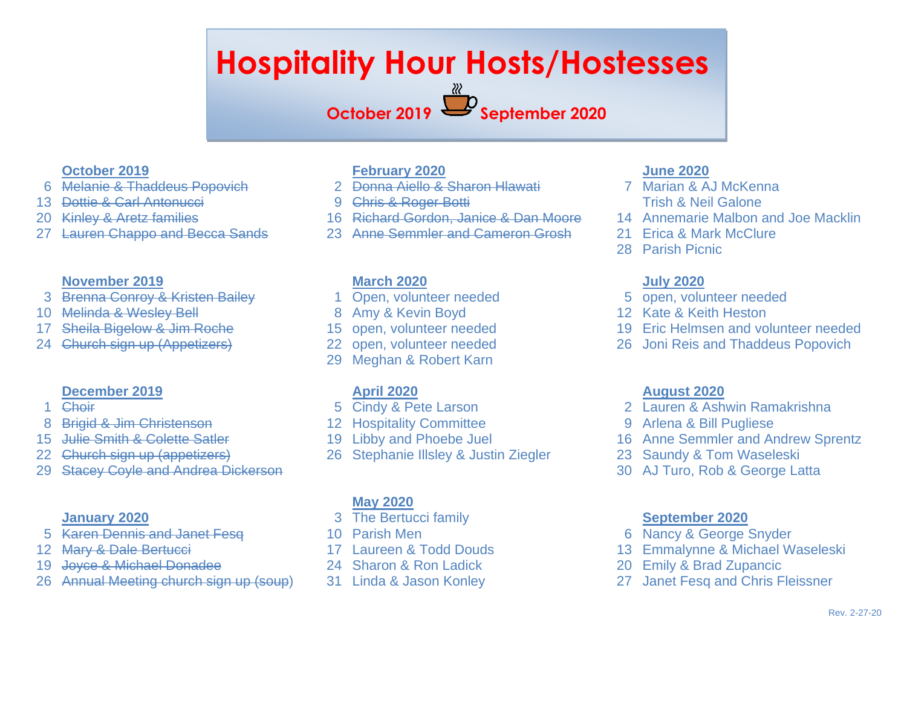# **Hospitality Hour Hosts/Hostesses**

# **October 2019 September 2020**

### **October 2019**

- Melanie & Thaddeus Popovich
- Dottie & Carl Antonucci
- Kinley & Aretz families
- Lauren Chappo and Becca Sands

#### **November 2019**

- Brenna Conroy & Kristen Bailey
- Melinda & Wesley Bell
- Sheila Bigelow & Jim Roche
- Church sign up (Appetizers)

#### **December 2019**

- Choir
- Brigid & Jim Christenson
- 15 Julie Smith & Colette Satler
- Church sign up (appetizers)
- Stacey Coyle and Andrea Dickerson

#### **January 2020**

- Karen Dennis and Janet Fesq
- Mary & Dale Bertucci
- Joyce & Michael Donadee
- Annual Meeting church sign up (soup)

## **February 2020**

- Donna Aiello & Sharon Hlawati
- Chris & Roger Botti
- Richard Gordon, Janice & Dan Moore
- Anne Semmler and Cameron Grosh

#### **March 2020**

- Open, volunteer needed
- Amy & Kevin Boyd
- open, volunteer needed
- open, volunteer needed
- Meghan & Robert Karn

## **April 2020**

- Cindy & Pete Larson
- Hospitality Committee
- Libby and Phoebe Juel
- Stephanie Illsley & Justin Ziegler

#### **May 2020**

- The Bertucci family
- Parish Men
- Laureen & Todd Douds
- Sharon & Ron Ladick
- Linda & Jason Konley

### **June 2020**

- Marian & AJ McKenna Trish & Neil Galone
- Annemarie Malbon and Joe Macklin
- 21 Erica & Mark McClure
- Parish Picnic

#### **July 2020**

- open, volunteer needed
- Kate & Keith Heston
- Eric Helmsen and volunteer needed
- Joni Reis and Thaddeus Popovich

#### **August 2020**

- Lauren & Ashwin Ramakrishna
- Arlena & Bill Pugliese
- Anne Semmler and Andrew Sprentz
- Saundy & Tom Waseleski
- AJ Turo, Rob & George Latta

#### **September 2020**

- Nancy & George Snyder
- Emmalynne & Michael Waseleski
- Emily & Brad Zupancic
- Janet Fesq and Chris Fleissner